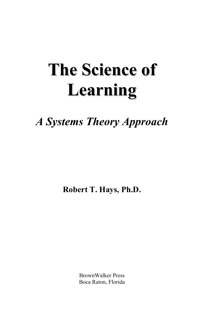*A Systems Theory Approach* 

**Robert T. Hays, Ph.D.** 

BrownWalker Press Boca Raton, Florida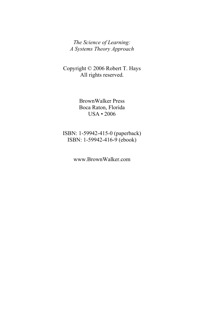*The Science of Learning: A Systems Theory Approach* 

Copyright © 2006 Robert T. Hays All rights reserved.

> BrownWalker Press Boca Raton, Florida USA • 2006

ISBN: 1-59942-415-0 (paperback) ISBN: 1-59942-416-9 (ebook)

www.BrownWalker.com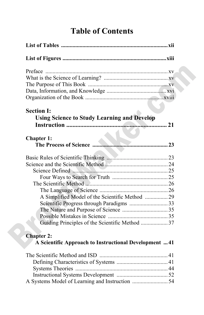# **Table of Contents**

| <b>Section I:</b><br><b>Using Science to Study Learning and Develop</b>    |  |
|----------------------------------------------------------------------------|--|
| <b>Chapter 1:</b>                                                          |  |
|                                                                            |  |
|                                                                            |  |
|                                                                            |  |
|                                                                            |  |
|                                                                            |  |
|                                                                            |  |
| A Simplified Model of the Scientific Method 29                             |  |
| Scientific Progress through Paradigms 33                                   |  |
|                                                                            |  |
|                                                                            |  |
|                                                                            |  |
| <b>Chapter 2:</b><br>A Scientific Approach to Instructional Development 41 |  |
|                                                                            |  |
|                                                                            |  |
|                                                                            |  |
|                                                                            |  |
|                                                                            |  |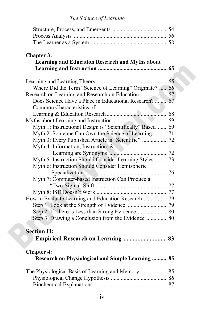| <b>Chapter 3:</b>                                          |
|------------------------------------------------------------|
| <b>Learning and Education Research and Myths about</b>     |
|                                                            |
|                                                            |
| Where Did the Term "Science of Learning" Originate?  66    |
|                                                            |
| Does Science Have a Place in Educational Research?  67     |
| Common Characteristics of                                  |
|                                                            |
|                                                            |
| Myth 1: Instructional Design is "Scientifically" Based  69 |
| Myth 2: Someone Can Own the Science of Learning 71         |
|                                                            |
| Myth 4: Information, Instruction, &                        |
|                                                            |
| Myth 5: Instruction Should Consider Learning Styles  73    |
| Myth 6: Instruction Should Consider Hemispheric            |
|                                                            |
| Myth 7: Computer-based Instruction Can Produce a           |
|                                                            |
|                                                            |
| How to Evaluate Learning and Education Research  79        |
|                                                            |
|                                                            |
| Step 3: Drawing a Conclusion from the Evidence  80         |
| <b>Section II:</b>                                         |
| Empirical Research on Learning  83                         |
| <b>Chapter 4:</b>                                          |
| <b>Research on Physiological and Simple Learning  85</b>   |
|                                                            |
|                                                            |
|                                                            |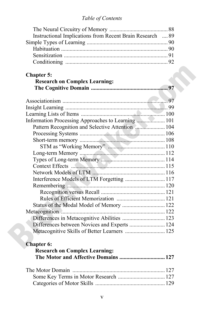#### *Table of Contents*

| Instructional Implications from Recent Brain Research  89 |  |
|-----------------------------------------------------------|--|
|                                                           |  |
|                                                           |  |
|                                                           |  |
|                                                           |  |
|                                                           |  |
| <b>Chapter 5:</b>                                         |  |
| <b>Research on Complex Learning:</b>                      |  |
|                                                           |  |
|                                                           |  |
|                                                           |  |
|                                                           |  |
|                                                           |  |
| Information Processing Approaches to Learning  101        |  |
| Pattern Recognition and Selective Attention  104          |  |
|                                                           |  |
|                                                           |  |
|                                                           |  |
|                                                           |  |
|                                                           |  |
|                                                           |  |
|                                                           |  |
| Interference Models of LTM Forgetting  117                |  |
|                                                           |  |
|                                                           |  |
|                                                           |  |
| Status of the Modal Model of Memory  122                  |  |
|                                                           |  |
|                                                           |  |
| Differences between Novices and Experts  124              |  |
| Metacognitive Skills of Better Learners  125              |  |
| <b>Chapter 6:</b>                                         |  |
| <b>Research on Complex Learning:</b>                      |  |
| The Motor and Affective Domains  127                      |  |
|                                                           |  |
|                                                           |  |
| Some Key Terms in Motor Research  127                     |  |
|                                                           |  |
|                                                           |  |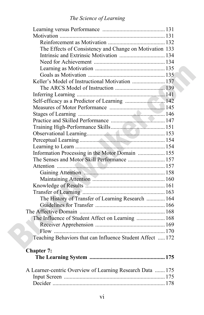| The Effects of Consistency and Change on Motivation 133   |  |
|-----------------------------------------------------------|--|
|                                                           |  |
|                                                           |  |
|                                                           |  |
|                                                           |  |
| Keller's Model of Instructional Motivation  137           |  |
|                                                           |  |
|                                                           |  |
| Self-efficacy as a Predictor of Learning  142             |  |
|                                                           |  |
|                                                           |  |
|                                                           |  |
|                                                           |  |
|                                                           |  |
|                                                           |  |
|                                                           |  |
| Information Processing in the Motor Domain  155           |  |
| The Senses and Motor Skill Performance  157               |  |
|                                                           |  |
|                                                           |  |
|                                                           |  |
|                                                           |  |
|                                                           |  |
| The History of Transfer of Learning Research  164         |  |
|                                                           |  |
|                                                           |  |
| The Influence of Student Affect on Learning  168          |  |
|                                                           |  |
|                                                           |  |
| Teaching Behaviors that can Influence Student Affect  172 |  |
| <b>Chapter 7:</b>                                         |  |
|                                                           |  |
| A Learner-centric Overview of Learning Research Data  175 |  |
|                                                           |  |
|                                                           |  |
|                                                           |  |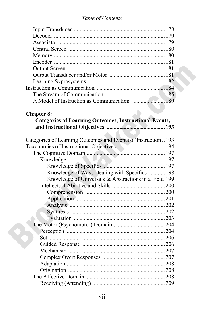#### *Table of Contents*

| A Model of Instruction as Communication  189                   |  |
|----------------------------------------------------------------|--|
|                                                                |  |
| <b>Chapter 8:</b>                                              |  |
| <b>Categories of Learning Outcomes, Instructional Events,</b>  |  |
|                                                                |  |
| Categories of Learning Outcomes and Events of Instruction  193 |  |
| Taxonomies of Instructional Objectives  194                    |  |
|                                                                |  |
|                                                                |  |
|                                                                |  |
| Knowledge of Ways Dealing with Specifics  198                  |  |
| Knowledge of Universals & Abstractions in a Field 199          |  |
|                                                                |  |
|                                                                |  |
|                                                                |  |
|                                                                |  |
|                                                                |  |
|                                                                |  |
|                                                                |  |
|                                                                |  |
|                                                                |  |
|                                                                |  |
|                                                                |  |
|                                                                |  |
|                                                                |  |
|                                                                |  |
|                                                                |  |
|                                                                |  |
|                                                                |  |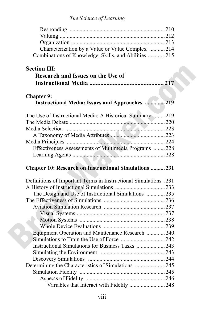| Characterization by a Value or Value Complex  214                |  |
|------------------------------------------------------------------|--|
| Combinations of Knowledge, Skills, and Abilities  215            |  |
|                                                                  |  |
| <b>Section III:</b>                                              |  |
| <b>Research and Issues on the Use of</b>                         |  |
|                                                                  |  |
|                                                                  |  |
| <b>Chapter 9:</b>                                                |  |
| <b>Instructional Media: Issues and Approaches  219</b>           |  |
| The Use of Instructional Media: A Historical Summary 219         |  |
|                                                                  |  |
|                                                                  |  |
|                                                                  |  |
|                                                                  |  |
| Effectiveness Assessments of Multimedia Programs  228            |  |
|                                                                  |  |
|                                                                  |  |
|                                                                  |  |
| Chapter 10: Research on Instructional Simulations  231           |  |
|                                                                  |  |
| Definitions of Important Terms in Instructional Simulations .231 |  |
|                                                                  |  |
| The Design and Use of Instructional Simulations  235             |  |
|                                                                  |  |
|                                                                  |  |
|                                                                  |  |
|                                                                  |  |
|                                                                  |  |
| Equipment Operation and Maintenance Research  240                |  |
|                                                                  |  |
| Instructional Simulations for Business Tasks  243                |  |
|                                                                  |  |
|                                                                  |  |
| Determining the Characteristics of Simulations 245               |  |
|                                                                  |  |
| Variables that Interact with Fidelity 248                        |  |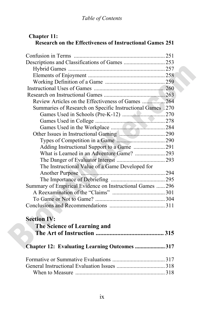#### **Chapter 11: Research on the Effectiveness of Instructional Games 251**

| Review Articles on the Effectiveness of Games  264         |  |
|------------------------------------------------------------|--|
| Summaries of Research on Specific Instructional Games .270 |  |
|                                                            |  |
|                                                            |  |
|                                                            |  |
|                                                            |  |
|                                                            |  |
| Adding Instructional Support to a Game  291                |  |
| What is Learned in an Adventure Game? 293                  |  |
|                                                            |  |
| The Instructional Value of a Game Developed for            |  |
|                                                            |  |
|                                                            |  |
| Summary of Empirical Evidence on Instructional Games  296  |  |
|                                                            |  |
|                                                            |  |
|                                                            |  |
| <b>Section IV:</b>                                         |  |
| The Science of Learning and                                |  |
|                                                            |  |
|                                                            |  |
| Chapter 12: Evaluating Learning Outcomes  317              |  |
|                                                            |  |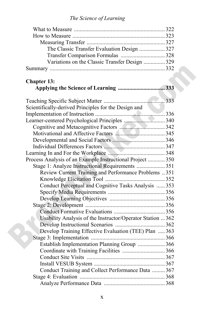| The Classic Transfer Evaluation Design  327                |  |
|------------------------------------------------------------|--|
|                                                            |  |
| Variations on the Classic Transfer Design  329             |  |
|                                                            |  |
| <b>Chapter 13:</b>                                         |  |
|                                                            |  |
|                                                            |  |
| Scientifically-derived Principles for the Design and       |  |
|                                                            |  |
| Learner-centered Psychological Principles  340             |  |
|                                                            |  |
|                                                            |  |
|                                                            |  |
|                                                            |  |
|                                                            |  |
| Process Analysis of an Example Instructional Project  350  |  |
| Stage 1: Analyze Instructional Requirements  351           |  |
| Review Current Training and Performance Problems 351       |  |
|                                                            |  |
| Conduct Perceptual and Cognitive Tasks Analysis  353       |  |
|                                                            |  |
|                                                            |  |
|                                                            |  |
|                                                            |  |
| Usability Analysis of the Instructor/Operator Station  362 |  |
|                                                            |  |
| Develop Training Effective Evaluation (TEE) Plan  363      |  |
|                                                            |  |
| Establish Implementation Planning Group  366               |  |
|                                                            |  |
|                                                            |  |
|                                                            |  |
| Conduct Training and Collect Performance Data  367         |  |
|                                                            |  |
|                                                            |  |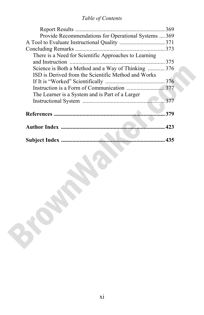#### *Table of Contents*

|                                                       | 369 |
|-------------------------------------------------------|-----|
| Provide Recommendations for Operational Systems  369  |     |
|                                                       |     |
|                                                       | 373 |
| There is a Need for Scientific Approaches to Learning |     |
|                                                       | 375 |
| Science is Both a Method and a Way of Thinking 376    |     |
| ISD is Derived from the Scientific Method and Works   |     |
|                                                       |     |
|                                                       |     |
| The Learner is a System and is Part of a Larger       |     |
|                                                       |     |
|                                                       |     |
|                                                       |     |
|                                                       |     |
|                                                       |     |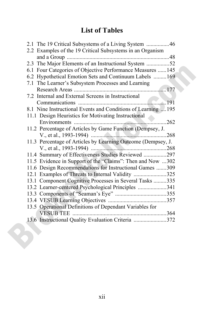# **List of Tables**

|     | 2.1 The 19 Critical Subsystems of a Living System 46          |     |
|-----|---------------------------------------------------------------|-----|
|     | 2.2 Examples of the 19 Critical Subsystems in an Organism     |     |
|     |                                                               |     |
|     | 2.3 The Major Elements of an Instructional System 52          |     |
| 6.1 | Four Categories of Objective Performance Measures 145         |     |
| 6.2 | Hypothetical Emotion Sets and Continuum Labels 169            |     |
|     | 7.1 The Learner's Subsystem Processes and Learning            |     |
|     |                                                               |     |
|     | 7.2 Internal and External Screens in Instructional            |     |
|     |                                                               | 191 |
|     | 8.1 Nine Instructional Events and Conditions of Learning  195 |     |
|     | 11.1 Design Heuristics for Motivating Instructional           |     |
|     |                                                               |     |
|     | 11.2 Percentage of Articles by Game Function (Dempsey, J.     |     |
|     |                                                               |     |
|     | 11.3 Percentage of Articles by Learning Outcome (Dempsey, J.  |     |
|     |                                                               |     |
|     | 11.4 Summary of Effectiveness Studies Reviewed 297            |     |
|     | 11.5 Evidence in Support of the "Claims": Then and Now 302    |     |
|     | 11.6 Design Recommendations for Instructional Games 309       |     |
|     | 12.1 Examples of Threats to Internal Validity 325             |     |
|     | 13.1 Component Cognitive Processes in Several Tasks 335       |     |
|     | 13.2 Learner-centered Psychological Principles 341            |     |
|     |                                                               |     |
|     |                                                               |     |
|     | 13.5 Operational Definitions of Dependant Variables for       |     |
|     | <b>VESUB TEE</b>                                              |     |
|     | 13.6 Instructional Quality Evaluation Criteria 372            |     |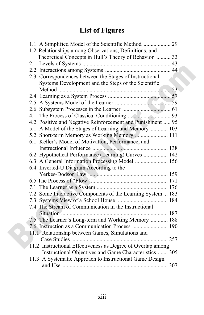# **List of Figures**

|     | 1.2 Relationships among Observations, Definitions, and      |  |
|-----|-------------------------------------------------------------|--|
|     | Theoretical Concepts in Hull's Theory of Behavior  33       |  |
|     |                                                             |  |
|     |                                                             |  |
|     | 2.3 Correspondences between the Stages of Instructional     |  |
|     | Systems Development and the Steps of the Scientific         |  |
|     |                                                             |  |
|     |                                                             |  |
|     |                                                             |  |
|     |                                                             |  |
|     |                                                             |  |
|     | 4.2 Positive and Negative Reinforcement and Punishment  95  |  |
|     | 5.1 A Model of the Stages of Learning and Memory  103       |  |
|     | 5.2 Short-term Memory as Working Memory  111                |  |
| 6.1 | Keller's Model of Motivation, Performance, and              |  |
|     |                                                             |  |
|     | 6.2 Hypothetical Performance (Learning) Curves  142         |  |
|     | 6.3 A General Information Processing Model  156             |  |
|     | 6.4 Inverted-U Diagram According to the                     |  |
|     |                                                             |  |
|     |                                                             |  |
|     |                                                             |  |
|     | 7.2 Some Interactive Components of the Learning System  183 |  |
|     |                                                             |  |
|     | 7.4 The Stream of Communication in the Instructional        |  |
|     | Situation                                                   |  |
|     | 7.5 The Learner's Long-term and Working Memory  188         |  |
|     |                                                             |  |
|     | 11.1 Relationship between Games, Simulations and            |  |
|     |                                                             |  |
|     | 11.2 Instructional Effectiveness as Degree of Overlap among |  |
|     | Instructional Objectives and Game Characteristics  305      |  |
|     | 11.3 A Systematic Approach to Instructional Game Design     |  |
|     |                                                             |  |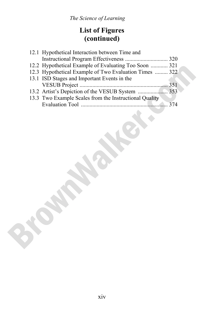## **List of Figures (continued)**

| 12.1 Hypothetical Interaction between Time and         |  |
|--------------------------------------------------------|--|
|                                                        |  |
| 12.2 Hypothetical Example of Evaluating Too Soon  321  |  |
| 12.3 Hypothetical Example of Two Evaluation Times  322 |  |
| 13.1 ISD Stages and Important Events in the            |  |
|                                                        |  |
|                                                        |  |
| 13.3 Two Example Scales from the Instructional Quality |  |
|                                                        |  |
|                                                        |  |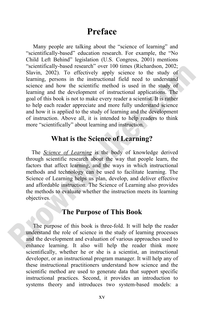# **Preface**

 Many people are talking about the "science of learning" and "scientifically-based" education research. For example, the "No Child Left Behind" legislation (U.S. Congress, 2001) mentions "scientifically-based research" over 100 times (Richardson, 2002; Slavin, 2002). To effectively apply science to the study of learning, persons in the instructional field need to understand science and how the scientific method is used in the study of learning and the development of instructional applications. The goal of this book is not to make every reader a scientist. It is rather to help each reader appreciate and more fully understand science and how it is applied to the study of learning and the development of instruction. Above all, it is intended to help readers to think more "scientifically" about learning and instruction.

## **What is the Science of Learning?**

 The *Science of Learning* is the body of knowledge derived through scientific research about the way that people learn, the factors that affect learning, and the ways in which instructional methods and technology can be used to facilitate learning. The Science of Learning helps us plan, develop, and deliver effective and affordable instruction. The Science of Learning also provides the methods to evaluate whether the instruction meets its learning objectives.

## **The Purpose of This Book**

 The purpose of this book is three-fold. It will help the reader understand the role of science in the study of learning processes and the development and evaluation of various approaches used to enhance learning. It also will help the reader think more scientifically, whether he or she is a scientist, an instructional developer, or an instructional program manager. It will help any of these instructional practitioners understand how science and the scientific method are used to generate data that support specific instructional practices. Second, it provides an introduction to systems theory and introduces two system-based models: a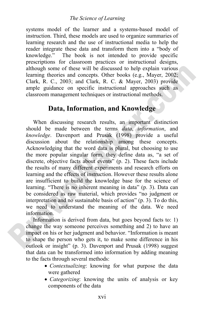systems model of the learner and a systems-based model of instruction. Third, these models are used to organize summaries of learning research and the use of instructional media to help the reader integrate these data and transform them into a "body of knowledge." The book is not intended to provide specific prescriptions for classroom practices or instructional designs, although some of these will be discussed to help explain various learning theories and concepts. Other books (e.g., Mayer, 2002; Clark, R. C., 2003; and Clark, R. C. & Mayer, 2003) provide ample guidance on specific instructional approaches such as classroom management techniques or instructional methods.

#### **Data, Information, and Knowledge**

 When discussing research results, an important distinction should be made between the terms *data*, *information*, and *knowledge*. Davenport and Prusak (1998) provide a useful discussion about the relationship among these concepts. Acknowledging that the word data is plural, but choosing to use the more popular singular form, they define data as, "a set of discrete, objective facts about events" (p. 2). These facts include the results of many different experiments and research efforts on learning and the effects of instruction. However these results alone are insufficient to build the knowledge base for the science of learning. "There is no inherent meaning in data" (p. 3). Data can be considered as raw material, which provides "no judgment or interpretation and no sustainable basis of action" (p. 3). To do this, we need to understand the meaning of the data. We need information.

 Information is derived from data, but goes beyond facts to: 1) change the way someone perceives something and 2) to have an impact on his or her judgment and behavior. "Information is meant to shape the person who gets it, to make some difference in his outlook or insight" (p. 3). Davenport and Prusak (1998) suggest that data can be transformed into information by adding meaning to the facts through several methods:

- • *Contextualizing*: knowing for what purpose the data were gathered
- *Categorizing*: knowing the units of analysis or key components of the data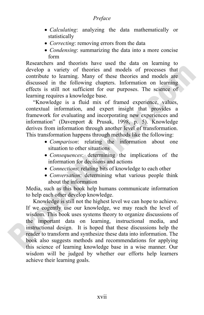#### *Preface*

- *Calculating*: analyzing the data mathematically or statistically
- *Correcting*: removing errors from the data
- *Condensing*: summarizing the data into a more concise form

Researchers and theorists have used the data on learning to develop a variety of theories and models of processes that contribute to learning. Many of these theories and models are discussed in the following chapters. Information on learning effects is still not sufficient for our purposes. The science of learning requires a knowledge base.

 "Knowledge is a fluid mix of framed experience, values, contextual information, and expert insight that provides a framework for evaluating and incorporating new experiences and information" (Davenport & Prusak, 1998, p. 5). Knowledge derives from information through another level of transformation. This transformation happens through methods like the following:

- *Comparison*: relating the information about one situation to other situations
- *Consequences*: determining the implications of the information for decisions and actions
- *Connections*: relating bits of knowledge to each other
- *Conversation*: determining what various people think about the information

Media, such as this book help humans communicate information to help each other develop knowledge.

 Knowledge is still not the highest level we can hope to achieve. If we cogently use our knowledge, we may reach the level of wisdom. This book uses systems theory to organize discussions of the important data on learning, instructional media, and instructional design. It is hoped that these discussions help the reader to transform and synthesize these data into information. The book also suggests methods and recommendations for applying this science of learning knowledge base in a wise manner. Our wisdom will be judged by whether our efforts help learners achieve their learning goals.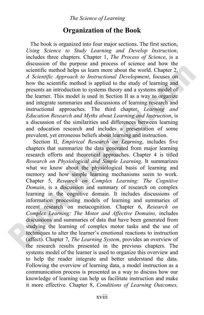## **Organization of the Book**

 The book is organized into four major sections. The first section, *Using Science to Study Learning and Develop Instruction*, includes three chapters. Chapter 1, *The Process of Science*, is a discussion of the purpose and process of science and how the scientific method helps us learn more about the world. Chapter 2, *A Scientific Approach to Instructional Development*, focuses on how the scientific method is applied to the study of learning and presents an introduction to systems theory and a systems model of the learner. This model is used in Section II as a way to organize and integrate summaries and discussions of learning research and instructional approaches. The third chapter, *Learning and Education Research and Myths about Learning and Instruction*, is a discussion of the similarities and differences between learning and education research and includes a presentation of some prevalent, yet erroneous beliefs about learning and instruction.

 Section II, *Empirical Research on Learning*, includes five chapters that summarize the data generated from major learning research efforts and theoretical approaches. Chapter 4 is titled *Research on Physiological and Simple Learning*. It summarizes what we know about the physiological basis of learning and memory and how simple learning mechanisms seem to work. Chapter 5, *Research on Complex Learning: The Cognitive Domain*, is a discussion and summary of research on complex learning in the cognitive domain. It includes discussions of information processing models of learning and summaries of recent research on metacognition. Chapter 6, *Research on Complex Learning: The Motor and Affective Domains,* includes discussions and summaries of data that have been generated from studying the learning of complex motor tasks and the use of techniques to alter the learner's emotional reactions to instruction (affect). Chapter 7, *The Learning System*, provides an overview of the research results presented in the previous chapters. The systems model of the learner is used to organize this overview and to help the reader integrate and better understand the data. Following the overview of learning data, a model instruction as a communication process is presented as a way to discuss how our knowledge of learning can help us facilitate instruction and make it more effective. Chapter 8, *Conditions of Learning Outcomes,*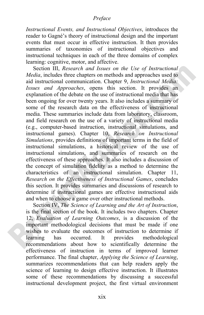#### *Preface*

*Instructional Events, and Instructional Objectives*, introduces the reader to Gagné's theory of instructional design and the important events that must occur in effective instruction. It then provides summaries of taxonomies of instructional objectives and instructional techniques in each of the three domains of complex learning: cognitive, motor, and affective.

 Section III, *Research and Issues on the Use of Instructional Media*, includes three chapters on methods and approaches used to aid instructional communication. Chapter 9, *Instructional Media: Issues and Approaches*, opens this section. It provides an explanation of the debate on the use of instructional media that has been ongoing for over twenty years. It also includes a summary of some of the research data on the effectiveness of instructional media. These summaries include data from laboratory, classroom, and field research on the use of a variety of instructional media (e.g., computer-based instruction, instructional simulations, and instructional games). Chapter 10, *Research on Instructional Simulations*, provides definitions of important terms in the field of instructional simulations, a historical review of the use of instructional simulations, and summaries of research on the effectiveness of these approaches. It also includes a discussion of the concept of simulation fidelity as a method to determine the characteristics of an instructional simulation. Chapter 11, *Research on the Effectiveness of Instructional Games*, concludes this section. It provides summaries and discussions of research to determine if instructional games are effective instructional aids and when to choose a game over other instructional methods.

 Section IV, *The Science of Learning and the Art of Instruction*, is the final section of the book. It includes two chapters. Chapter 12, *Evaluation of Learning Outcomes*, is a discussion of the important methodological decisions that must be made if one wishes to evaluate the outcomes of instruction to determine if<br>learning has occurred. It provides methodological learning has occurred. It provides methodological recommendations about how to scientifically determine the effectiveness of instruction in terms of improved learner performance. The final chapter, *Applying the Science of Learning*, summarizes recommendations that can help readers apply the science of learning to design effective instruction. It illustrates some of these recommendations by discussing a successful instructional development project, the first virtual environment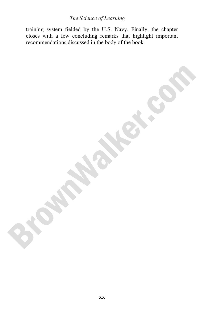training system fielded by the U.S. Navy. Finally, the chapter closes with a few concluding remarks that highlight important recommendations discussed in the body of the book.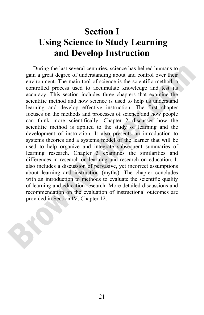# **Section I Using Science to Study Learning and Develop Instruction**

 During the last several centuries, science has helped humans to gain a great degree of understanding about and control over their environment. The main tool of science is the scientific method, a controlled process used to accumulate knowledge and test its accuracy. This section includes three chapters that examine the scientific method and how science is used to help us understand learning and develop effective instruction. The first chapter focuses on the methods and processes of science and how people can think more scientifically. Chapter 2 discusses how the scientific method is applied to the study of learning and the development of instruction. It also presents an introduction to systems theories and a systems model of the learner that will be used to help organize and integrate subsequent summaries of learning research. Chapter 3 examines the similarities and differences in research on learning and research on education. It also includes a discussion of pervasive, yet incorrect assumptions about learning and instruction (myths). The chapter concludes with an introduction to methods to evaluate the scientific quality of learning and education research. More detailed discussions and recommendation on the evaluation of instructional outcomes are provided in Section IV, Chapter 12.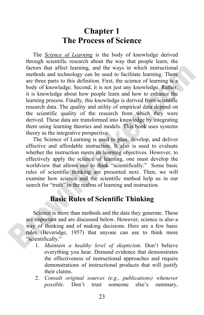# **Chapter 1 The Process of Science**

 The *Science of Learning* is the body of knowledge derived through scientific research about the way that people learn, the factors that affect learning, and the ways in which instructional methods and technology can be used to facilitate learning. There are three parts to this definition. First, the science of learning is a body of knowledge. Second, it is not just any knowledge. Rather, it is knowledge about how people learn and how to enhance the learning process. Finally, this knowledge is derived from scientific research data. The quality and utility of empirical data depend on the scientific quality of the research from which they were derived. These data are transformed into knowledge by integrating them using learning theories and models. This book uses systems theory as the integrative perspective.

 The Science of Learning is used to plan, develop, and deliver effective and affordable instruction. It also is used to evaluate whether the instruction meets its learning objectives. However, to effectively apply the science of learning, one must develop the worldview that allows one to think "scientifically." Some basic rules of scientific thinking are presented next. Then, we will examine how science and the scientific method help us in our search for "truth" in the realms of learning and instruction.

## **Basic Rules of Scientific Thinking**

 Science is more than methods and the data they generate. These are important and are discussed below. However, science is also a way of thinking and of making decisions. Here are a few basic rules (Beveridge, 1957) that anyone can use to think more "scientifically."

- 1. *Maintain a healthy level of skepticism*. Don't believe everything you hear. Demand evidence that demonstrates the effectiveness of instructional approaches and require demonstrations of instructional products that will justify their claims.
- 2. *Consult original sources (e.g., publications) whenever possible*. Don't trust someone else's summary,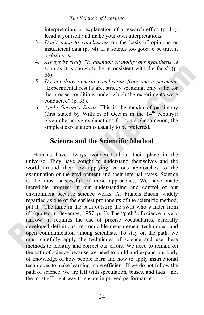interpretation, or explanation of a research effort (p. 14). Read it yourself and make your own interpretations.

- 3. *Don't jump to conclusions* on the basis of opinions or insufficient data (p. 74). If it sounds too good to be true, it probably is.
- 4. *Always be ready "to abandon or modify our hypothesis* as soon as it is shown to be inconsistent with the facts" (p. 66).
- 5. *Do not draw general conclusions from one experiment*. "Experimental results are, strictly speaking, only valid for the precise conditions under which the experiments were conducted" (p. 35).
- 6. *Apply Occam's Razor*. This is the maxim of parsimony (first stated by William of Occam in the  $14<sup>th</sup>$  century): given alternative explanations for some phenomenon, the simplest explanation is usually to be preferred.

## **Science and the Scientific Method**

 Humans have always wondered about their place in the universe. They have sought to understand themselves and the world around them by applying various approaches to the examination of the environment and their internal states. Science is the most successful of these approaches. We have made incredible progress in our understanding and control of our environment because science works. As Francis Bacon, widely regarded as one of the earliest proponents of the scientific method, put it, "The lame in the path outstrip the swift who wander from it" (quoted in Beverage, 1957, p. 3). The "path" of science is very narrow—it requires the use of precise vocabularies, carefully developed definitions, reproducible measurement techniques, and open communication among scientists. To stay on the path, we must carefully apply the techniques of science and use these methods to identify and correct our errors. We need to remain on the path of science because we need to build and expand our body of knowledge of how people learn and how to apply instructional techniques to make learning more efficient. If we do not follow the path of science, we are left with speculation, biases, and fads—not the most efficient way to ensure improved performance.